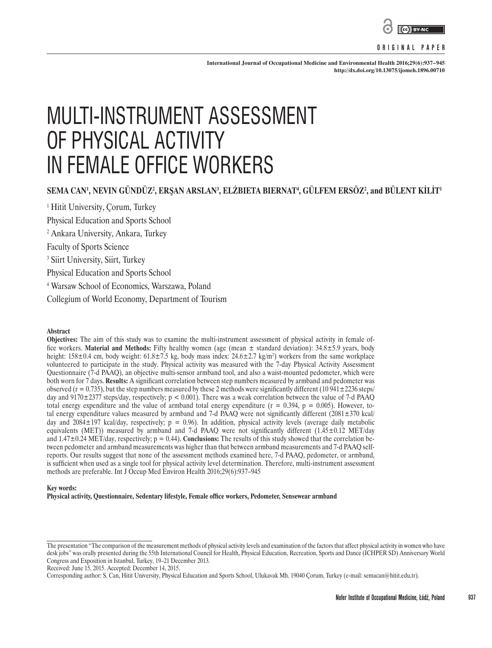

### **ORIGINAL PAPER**

**International Journal of Occupational Medicine and Environmental Health 2016;29(6):937–945 <http://dx.doi.org/10.13075/ijomeh.1896.00710>**

# MULTI-INSTRUMENT ASSESSMENT OF PHYSICAL ACTIVITY IN FEMALE OFFICE WORKERS

# **SEMA CAN1 , NEVIN GÜNDÜZ2 , ERŞAN ARSLAN<sup>3</sup> , ELŻBIETA BIERNAT<sup>4</sup> , GÜLFEM ERSÖZ<sup>2</sup> , and BÜLENT KİLİT<sup>1</sup>**

1 Hitit University, Çorum, Turkey Physical Education and Sports School 2 Ankara University, Ankara, Turkey Faculty of Sports Science 3 Siirt University, Siirt, Turkey Physical Education and Sports School 4 Warsaw School of Economics, Warszawa, Poland Collegium of World Economy, Department of Tourism

#### **Abstract**

**Objectives:** The aim of this study was to examine the multi-instrument assessment of physical activity in female office workers. **Material and Methods:** Fifty healthy women (age (mean ± standard deviation): 34.8±5.9 years, body height: 158±0.4 cm, body weight: 61.8±7.5 kg, body mass index: 24.6±2.7 kg/m<sup>2</sup>) workers from the same workplace volunteered to participate in the study. Physical activity was measured with the 7-day Physical Activity Assessment Questionnaire (7-d PAAQ), an objective multi-sensor armband tool, and also a waist-mounted pedometer, which were both worn for 7 days. **Results:** A significant correlation between step numbers measured by armband and pedometer was observed ( $r = 0.735$ ), but the step numbers measured by these 2 methods were significantly different (10 941 $\pm$ 2236 steps/ day and  $9170\pm2377$  steps/day, respectively; p < 0.001). There was a weak correlation between the value of 7-d PAAQ total energy expenditure and the value of armband total energy expenditure  $(r = 0.394, p = 0.005)$ . However, total energy expenditure values measured by armband and 7-d PAAQ were not significantly different (2081±370 kcal/ day and  $2084\pm197$  kcal/day, respectively;  $p = 0.96$ ). In addition, physical activity levels (average daily metabolic equivalents (MET)) measured by armband and 7-d PAAQ were not significantly different  $(1.45\pm0.12 \text{ MET/day})$ and  $1.47\pm0.24$  MET/day, respectively;  $p = 0.44$ ). **Conclusions:** The results of this study showed that the correlation between pedometer and armband measurements was higher than that between armband measurements and 7-d PAAQ selfreports. Our results suggest that none of the assessment methods examined here, 7-d PAAQ, pedometer, or armband, is sufficient when used as a single tool for physical activity level determination. Therefore, multi-instrument assessment methods are preferable. Int J Occup Med Environ Health 2016;29(6):937–945

#### **Key words:**

**Physical activity, Questionnaire, Sedentary lifestyle, Female office workers, Pedometer, Sensewear armband**

Received: June 15, 2015. Accepted: December 14, 2015.

Corresponding author: S. Can, Hitit University, Physical Education and Sports School, Ulukavak Mh. 19040 Çorum, Turkey (e-mail: semacan@hitit.edu.tr).

The presentation "The comparison of the measurement methods of physical activity levels and examination of the factors that affect physical activity in women who have desk jobs" was orally presented during the 55th International Council for Health, Physical Education, Recreation, Sports and Dance (ICHPER SD) Anniversary World Congress and Exposition in Istanbul, Turkey, 19–21 December 2013.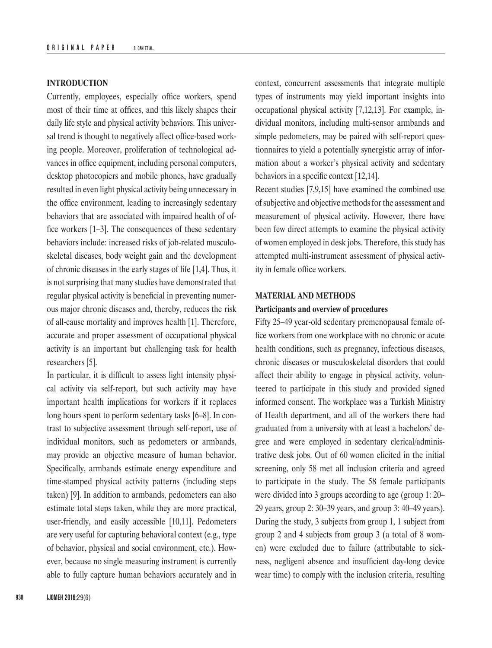# **INTRODUCTION**

Currently, employees, especially office workers, spend most of their time at offices, and this likely shapes their daily life style and physical activity behaviors. This universal trend is thought to negatively affect office-based working people. Moreover, proliferation of technological advances in office equipment, including personal computers, desktop photocopiers and mobile phones, have gradually resulted in even light physical activity being unnecessary in the office environment, leading to increasingly sedentary behaviors that are associated with impaired health of office workers [1–3]. The consequences of these sedentary behaviors include: increased risks of job-related musculoskeletal diseases, body weight gain and the development of chronic diseases in the early stages of life [1,4]. Thus, it is not surprising that many studies have demonstrated that regular physical activity is beneficial in preventing numerous major chronic diseases and, thereby, reduces the risk of all-cause mortality and improves health [1]. Therefore, accurate and proper assessment of occupational physical activity is an important but challenging task for health researchers [5].

In particular, it is difficult to assess light intensity physical activity via self-report, but such activity may have important health implications for workers if it replaces long hours spent to perform sedentary tasks [6–8]. In contrast to subjective assessment through self-report, use of individual monitors, such as pedometers or armbands, may provide an objective measure of human behavior. Specifically, armbands estimate energy expenditure and time-stamped physical activity patterns (including steps taken) [9]. In addition to armbands, pedometers can also estimate total steps taken, while they are more practical, user-friendly, and easily accessible [10,11]. Pedometers are very useful for capturing behavioral context (e.g., type of behavior, physical and social environment, etc.). However, because no single measuring instrument is currently able to fully capture human behaviors accurately and in

**938 IJOMEH 2016;**29(6)

context, concurrent assessments that integrate multiple types of instruments may yield important insights into occupational physical activity [7,12,13]. For example, individual monitors, including multi-sensor armbands and simple pedometers, may be paired with self-report questionnaires to yield a potentially synergistic array of information about a worker's physical activity and sedentary behaviors in a specific context [12,14].

Recent studies [7,9,15] have examined the combined use of subjective and objective methods for the assessment and measurement of physical activity. However, there have been few direct attempts to examine the physical activity of women employed in desk jobs. Therefore, this study has attempted multi-instrument assessment of physical activity in female office workers.

# **MATERIAL AND METHODS**

# **Participants and overview of procedures**

Fifty 25–49 year-old sedentary premenopausal female office workers from one workplace with no chronic or acute health conditions, such as pregnancy, infectious diseases, chronic diseases or musculoskeletal disorders that could affect their ability to engage in physical activity, volunteered to participate in this study and provided signed informed consent. The workplace was a Turkish Ministry of Health department, and all of the workers there had graduated from a university with at least a bachelors' degree and were employed in sedentary clerical/administrative desk jobs. Out of 60 women elicited in the initial screening, only 58 met all inclusion criteria and agreed to participate in the study. The 58 female participants were divided into 3 groups according to age (group 1: 20– 29 years, group 2: 30–39 years, and group 3: 40–49 years). During the study, 3 subjects from group 1, 1 subject from group 2 and 4 subjects from group 3 (a total of 8 women) were excluded due to failure (attributable to sickness, negligent absence and insufficient day-long device wear time) to comply with the inclusion criteria, resulting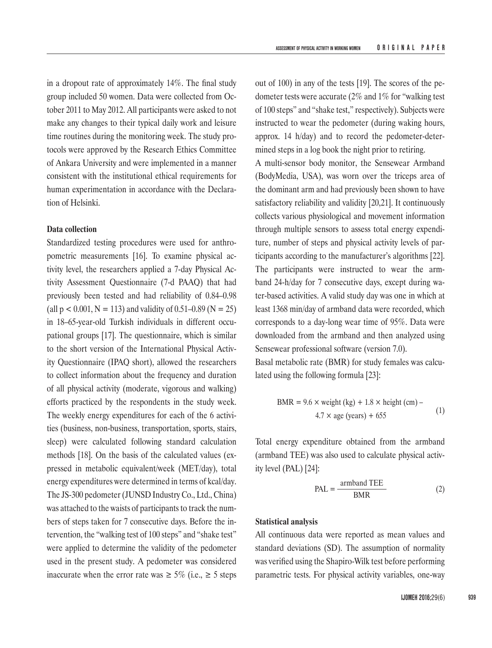in a dropout rate of approximately 14%. The final study group included 50 women. Data were collected from October 2011 to May 2012. All participants were asked to not make any changes to their typical daily work and leisure time routines during the monitoring week. The study protocols were approved by the Research Ethics Committee of Ankara University and were implemented in a manner consistent with the institutional ethical requirements for human experimentation in accordance with the Declaration of Helsinki.

# **Data collection**

Standardized testing procedures were used for anthropometric measurements [16]. To examine physical activity level, the researchers applied a 7-day Physical Activity Assessment Questionnaire (7-d PAAQ) that had previously been tested and had reliability of 0.84–0.98 (all  $p < 0.001$ ,  $N = 113$ ) and validity of 0.51–0.89 ( $N = 25$ ) in 18–65-year-old Turkish individuals in different occupational groups [17]. The questionnaire, which is similar to the short version of the International Physical Activity Questionnaire (IPAQ short), allowed the researchers to collect information about the frequency and duration of all physical activity (moderate, vigorous and walking) efforts practiced by the respondents in the study week. The weekly energy expenditures for each of the 6 activities (business, non-business, transportation, sports, stairs, sleep) were calculated following standard calculation methods [18]. On the basis of the calculated values (expressed in metabolic equivalent/week (MET/day), total energy expenditures were determined in terms of kcal/day. The JS-300 pedometer (JUNSD Industry Co., Ltd., China) was attached to the waists of participants to track the numbers of steps taken for 7 consecutive days. Before the intervention, the "walking test of 100 steps" and "shake test" were applied to determine the validity of the pedometer used in the present study. A pedometer was considered inaccurate when the error rate was  $\geq 5\%$  (i.e.,  $\geq 5$  steps

out of 100) in any of the tests [19]. The scores of the pedometer tests were accurate (2% and 1% for "walking test of 100 steps" and "shake test," respectively). Subjects were instructed to wear the pedometer (during waking hours, approx. 14 h/day) and to record the pedometer-determined steps in a log book the night prior to retiring.

A multi-sensor body monitor, the Sensewear Armband (BodyMedia, USA), was worn over the triceps area of the dominant arm and had previously been shown to have satisfactory reliability and validity [20,21]. It continuously collects various physiological and movement information through multiple sensors to assess total energy expenditure, number of steps and physical activity levels of participants according to the manufacturer's algorithms [22]. The participants were instructed to wear the armband 24-h/day for 7 consecutive days, except during water-based activities. A valid study day was one in which at least 1368 min/day of armband data were recorded, which corresponds to a day-long wear time of 95%. Data were downloaded from the armband and then analyzed using Sensewear professional software (version 7.0).

Basal metabolic rate (BMR) for study females was calculated using the following formula [23]:

$$
BMR = 9.6 \times weight (kg) + 1.8 \times height (cm) - 4.7 \times age (years) + 655
$$
 (1)

Total energy expenditure obtained from the armband (armband TEE) was also used to calculate physical activity level (PAL) [24]:

$$
PAL = \frac{\text{armband TEE}}{\text{BMR}} \tag{2}
$$

# **Statistical analysis**

All continuous data were reported as mean values and standard deviations (SD). The assumption of normality was verified using the Shapiro-Wilk test before performing parametric tests. For physical activity variables, one-way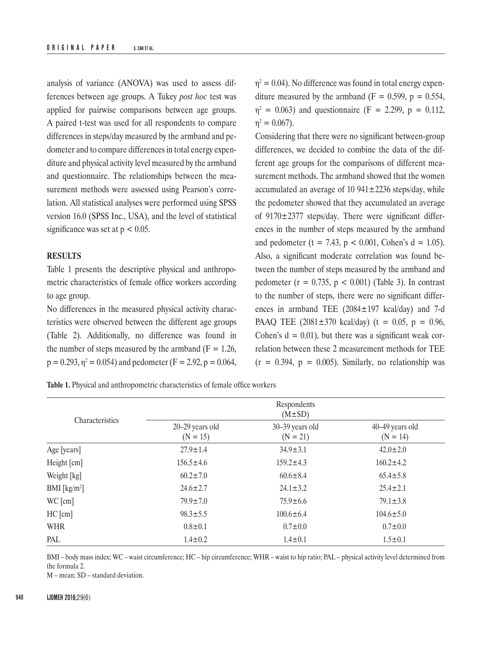analysis of variance (ANOVA) was used to assess differences between age groups. A Tukey *post hoc* test was applied for pairwise comparisons between age groups. A paired t-test was used for all respondents to compare differences in steps/day measured by the armband and pedometer and to compare differences in total energy expenditure and physical activity level measured by the armband and questionnaire. The relationships between the measurement methods were assessed using Pearson's correlation. All statistical analyses were performed using SPSS version 16.0 (SPSS Inc., USA), and the level of statistical significance was set at  $p < 0.05$ .

# **RESULTS**

Table 1 presents the descriptive physical and anthropometric characteristics of female office workers according to age group.

No differences in the measured physical activity characteristics were observed between the different age groups (Table 2). Additionally, no difference was found in the number of steps measured by the armband ( $F = 1.26$ ,  $p = 0.293$ ,  $\eta^2 = 0.054$ ) and pedometer (F = 2.92, p = 0.064,  $\eta^2 = 0.04$ ). No difference was found in total energy expenditure measured by the armband ( $F = 0.599$ ,  $p = 0.554$ ,  $\eta^2 = 0.063$ ) and questionnaire (F = 2.299, p = 0.112,  $\eta^2 = 0.067$ ).

Considering that there were no significant between-group differences, we decided to combine the data of the different age groups for the comparisons of different measurement methods. The armband showed that the women accumulated an average of 10  $941 \pm 2236$  steps/day, while the pedometer showed that they accumulated an average of  $9170 \pm 2377$  steps/day. There were significant differences in the number of steps measured by the armband and pedometer (t = 7.43,  $p < 0.001$ , Cohen's d = 1.05). Also, a significant moderate correlation was found between the number of steps measured by the armband and pedometer ( $r = 0.735$ ,  $p < 0.001$ ) (Table 3). In contrast to the number of steps, there were no significant differences in armband TEE (2084±197 kcal/day) and 7-d PAAQ TEE  $(2081 \pm 370 \text{ kcal/day})$  (t = 0.05, p = 0.96, Cohen's  $d = 0.01$ , but there was a significant weak correlation between these 2 measurement methods for TEE  $(r = 0.394, p = 0.005)$ . Similarly, no relationship was

**Table 1.** Physical and anthropometric characteristics of female office workers

|                         | Respondents<br>$(M \pm SD)$   |                               |                               |  |
|-------------------------|-------------------------------|-------------------------------|-------------------------------|--|
| Characteristics         | 20-29 years old<br>$(N = 15)$ | 30-39 years old<br>$(N = 21)$ | 40-49 years old<br>$(N = 14)$ |  |
| Age [years]             | $27.9 \pm 1.4$                | $34.9 \pm 3.1$                | $42.0 \pm 2.0$                |  |
| Height [cm]             | $156.5 \pm 4.6$               | $159.2 \pm 4.3$               | $160.2 \pm 4.2$               |  |
| Weight [kg]             | $60.2 \pm 7.0$                | $60.6 \pm 8.4$                | $65.4 \pm 5.8$                |  |
| BMI [ $\text{kg/m}^2$ ] | $24.6 \pm 2.7$                | $24.1 \pm 3.2$                | $25.4 \pm 2.1$                |  |
| WC[cm]                  | $79.9 \pm 7.0$                | $75.9 \pm 6.6$                | $79.1 \pm 3.8$                |  |
| $HC$ [cm]               | $98.3 \pm 5.5$                | $100.6 \pm 6.4$               | $104.6 \pm 5.0$               |  |
| WHR                     | $0.8 \pm 0.1$                 | $0.7 + 0.0$                   | $0.7 \pm 0.0$                 |  |
| PAL                     | $1.4 \pm 0.2$                 | $1.4 \pm 0.1$                 | $1.5 \pm 0.1$                 |  |

BMI – body mass index; WC – waist circumference; HC – hip circumference; WHR – waist to hip ratio; PAL – physical activity level determined from the formula 2.

M – mean; SD – standard deviation.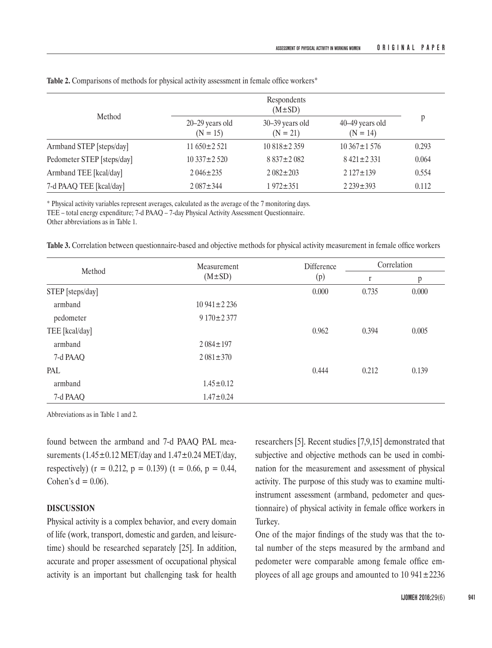|                            | Respondents<br>$(M \pm SD)$       |                               |                               |       |
|----------------------------|-----------------------------------|-------------------------------|-------------------------------|-------|
| Method                     | $20 - 29$ years old<br>$(N = 15)$ | 30–39 years old<br>$(N = 21)$ | 40–49 years old<br>$(N = 14)$ | p     |
| Armband STEP [steps/day]   | $11.650 \pm 2.521$                | $10.818 \pm 2.359$            | $10.367 \pm 1.576$            | 0.293 |
| Pedometer STEP [steps/day] | $10.337 \pm 2.520$                | $8837 \pm 2082$               | $8421 \pm 2331$               | 0.064 |
| Armband TEE [kcal/day]     | $2.046 \pm 235$                   | $2.082 \pm 203$               | $2127 \pm 139$                | 0.554 |
| 7-d PAAQ TEE [kcal/day]    | $2.087 \pm 344$                   | $1972 \pm 351$                | $2239 \pm 393$                | 0.112 |

**Table 2.** Comparisons of methods for physical activity assessment in female office workers\*

\* Physical activity variables represent averages, calculated as the average of the 7 monitoring days.

TEE – total energy expenditure; 7-d PAAQ – 7-day Physical Activity Assessment Questionnaire.

Other abbreviations as in Table 1.

**Table 3.** Correlation between questionnaire-based and objective methods for physical activity measurement in female office workers

| Method           | Measurement<br>$(M \pm SD)$ | <b>Difference</b><br>(p) | Correlation  |       |
|------------------|-----------------------------|--------------------------|--------------|-------|
|                  |                             |                          | $\mathbf{r}$ | p     |
| STEP [steps/day] |                             | 0.000                    | 0.735        | 0.000 |
| armband          | $10941 \pm 2236$            |                          |              |       |
| pedometer        | $9170 \pm 2377$             |                          |              |       |
| TEE [kcal/day]   |                             | 0.962                    | 0.394        | 0.005 |
| armband          | $2.084 \pm 197$             |                          |              |       |
| 7-d PAAQ         | $2081 \pm 370$              |                          |              |       |
| PAL              |                             | 0.444                    | 0.212        | 0.139 |
| armband          | $1.45 \pm 0.12$             |                          |              |       |
| 7-d PAAQ         | $1.47 \pm 0.24$             |                          |              |       |

Abbreviations as in Table 1 and 2.

found between the armband and 7-d PAAQ PAL measurements (1.45 $\pm$ 0.12 MET/day and 1.47 $\pm$ 0.24 MET/day, respectively) ( $r = 0.212$ ,  $p = 0.139$ ) ( $t = 0.66$ ,  $p = 0.44$ , Cohen's  $d = 0.06$ ).

# **DISCUSSION**

Physical activity is a complex behavior, and every domain of life (work, transport, domestic and garden, and leisuretime) should be researched separately [25]. In addition, accurate and proper assessment of occupational physical activity is an important but challenging task for health

researchers [5]. Recent studies [7,9,15] demonstrated that subjective and objective methods can be used in combination for the measurement and assessment of physical activity. The purpose of this study was to examine multiinstrument assessment (armband, pedometer and questionnaire) of physical activity in female office workers in Turkey.

One of the major findings of the study was that the total number of the steps measured by the armband and pedometer were comparable among female office employees of all age groups and amounted to  $10\,941\pm2236$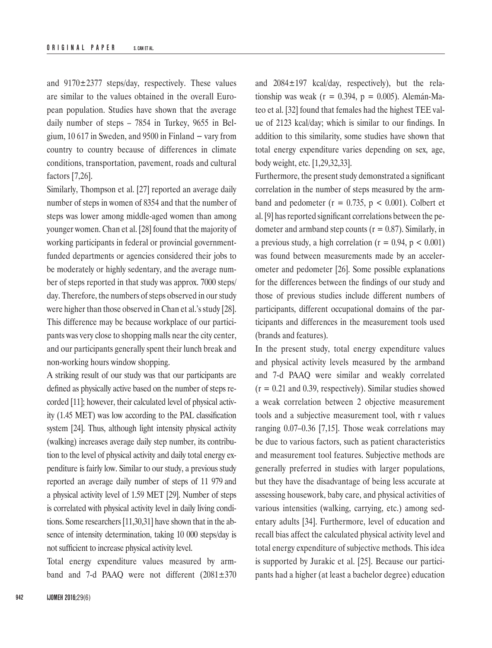and  $9170 \pm 2377$  steps/day, respectively. These values are similar to the values obtained in the overall European population. Studies have shown that the average daily number of steps – 7854 in Turkey, 9655 in Belgium, 10 617 in Sweden, and 9500 in Finland  $-$  vary from country to country because of differences in climate conditions, transportation, pavement, roads and cultural factors [7,26].

Similarly, Thompson et al. [27] reported an average daily number of steps in women of 8354 and that the number of steps was lower among middle-aged women than among younger women. Chan et al. [28] found that the majority of working participants in federal or provincial governmentfunded departments or agencies considered their jobs to be moderately or highly sedentary, and the average number of steps reported in that study was approx. 7000 steps/ day. Therefore, the numbers of steps observed in our study were higher than those observed in Chan et al.'s study [28]. This difference may be because workplace of our participants was very close to shopping malls near the city center, and our participants generally spent their lunch break and non-working hours window shopping.

A striking result of our study was that our participants are defined as physically active based on the number of steps recorded [11]; however, their calculated level of physical activity (1.45 MET) was low according to the PAL classification system [24]. Thus, although light intensity physical activity (walking) increases average daily step number, its contribution to the level of physical activity and daily total energy expenditure is fairly low. Similar to our study, a previous study reported an average daily number of steps of 11 979 and a physical activity level of 1.59 MET [29]. Number of steps is correlated with physical activity level in daily living conditions. Some researchers[11,30,31] have shown that in the absence of intensity determination, taking 10 000 steps/day is not sufficient to increase physical activity level.

Total energy expenditure values measured by armband and 7-d PAAQ were not different  $(2081 \pm 370)$  and 2084±197 kcal/day, respectively), but the relationship was weak ( $r = 0.394$ ,  $p = 0.005$ ). Alemán-Mateo et al. [32] found that females had the highest TEE value of 2123 kcal/day; which is similar to our findings. In addition to this similarity, some studies have shown that total energy expenditure varies depending on sex, age, body weight, etc. [1,29,32,33].

Furthermore, the present study demonstrated a significant correlation in the number of steps measured by the armband and pedometer ( $r = 0.735$ ,  $p < 0.001$ ). Colbert et al. [9] has reported significant correlations between the pedometer and armband step counts ( $r = 0.87$ ). Similarly, in a previous study, a high correlation ( $r = 0.94$ ,  $p < 0.001$ ) was found between measurements made by an accelerometer and pedometer [26]. Some possible explanations for the differences between the findings of our study and those of previous studies include different numbers of participants, different occupational domains of the participants and differences in the measurement tools used (brands and features).

In the present study, total energy expenditure values and physical activity levels measured by the armband and 7-d PAAQ were similar and weakly correlated  $(r = 0.21$  and 0.39, respectively). Similar studies showed a weak correlation between 2 objective measurement tools and a subjective measurement tool, with r values ranging 0.07–0.36 [7,15]. Those weak correlations may be due to various factors, such as patient characteristics and measurement tool features. Subjective methods are generally preferred in studies with larger populations, but they have the disadvantage of being less accurate at assessing housework, baby care, and physical activities of various intensities (walking, carrying, etc.) among sedentary adults [34]. Furthermore, level of education and recall bias affect the calculated physical activity level and total energy expenditure of subjective methods. This idea is supported by Jurakic et al. [25]. Because our participants had a higher (at least a bachelor degree) education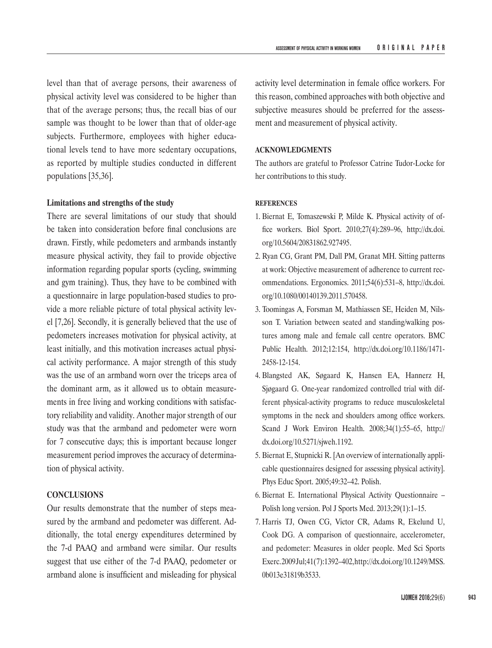level than that of average persons, their awareness of physical activity level was considered to be higher than that of the average persons; thus, the recall bias of our sample was thought to be lower than that of older-age subjects. Furthermore, employees with higher educational levels tend to have more sedentary occupations, as reported by multiple studies conducted in different populations [35,36].

# **Limitations and strengths of the study**

There are several limitations of our study that should be taken into consideration before final conclusions are drawn. Firstly, while pedometers and armbands instantly measure physical activity, they fail to provide objective information regarding popular sports (cycling, swimming and gym training). Thus, they have to be combined with a questionnaire in large population-based studies to provide a more reliable picture of total physical activity level [7,26]. Secondly, it is generally believed that the use of pedometers increases motivation for physical activity, at least initially, and this motivation increases actual physical activity performance. A major strength of this study was the use of an armband worn over the triceps area of the dominant arm, as it allowed us to obtain measurements in free living and working conditions with satisfactory reliability and validity. Another major strength of our study was that the armband and pedometer were worn for 7 consecutive days; this is important because longer measurement period improves the accuracy of determination of physical activity.

# **CONCLUSIONS**

Our results demonstrate that the number of steps measured by the armband and pedometer was different. Additionally, the total energy expenditures determined by the 7-d PAAQ and armband were similar. Our results suggest that use either of the 7-d PAAQ, pedometer or armband alone is insufficient and misleading for physical

activity level determination in female office workers. For this reason, combined approaches with both objective and subjective measures should be preferred for the assessment and measurement of physical activity.

# **ACKNOWLEDGMENTS**

The authors are grateful to Professor Catrine Tudor-Locke for her contributions to this study.

## **REFERENCES**

- 1. Biernat E, Tomaszewski P, Milde K. Physical activity of office workers. Biol Sport. 2010;27(4):289–96, [http://dx.doi.](http://dx.doi.org/10.5604/20831862.927495) [org/10.5604/20831862.927495](http://dx.doi.org/10.5604/20831862.927495).
- 2. Ryan CG, Grant PM, Dall PM, Granat MH. Sitting patterns at work: Objective measurement of adherence to current recommendations. Ergonomics. 2011;54(6):531–8, [http://dx.doi.](http://dx.doi.org/10.1080/00140139.2011.570458) [org/10.1080/00140139.2011.570458.](http://dx.doi.org/10.1080/00140139.2011.570458)
- 3. Toomingas A, Forsman M, Mathiassen SE, Heiden M, Nilsson T. Variation between seated and standing/walking postures among male and female call centre operators. BMC Public Health. 2012;12:154, [http://dx.doi.org/10.1186/1471-](http://dx.doi.org/10.1186/1471-2458-12-154) [2458-12-154](http://dx.doi.org/10.1186/1471-2458-12-154).
- 4. Blangsted AK, Søgaard K, Hansen EA, Hannerz H, Sjøgaard G. One-year randomized controlled trial with different physical-activity programs to reduce musculoskeletal symptoms in the neck and shoulders among office workers. Scand J Work Environ Health. 2008;34(1):55–65, [http://](http://dx.doi.org/10.5271/sjweh.1192) [dx.doi.org/10.5271/sjweh.1192](http://dx.doi.org/10.5271/sjweh.1192).
- 5. Biernat E, Stupnicki R. [An overview of internationally applicable questionnaires designed for assessing physical activity]. Phys Educ Sport. 2005;49:32–42. Polish.
- 6. Biernat E. International Physical Activity Questionnaire Polish long version. Pol J Sports Med. 2013;29(1):1–15.
- 7. Harris TJ, Owen CG, Victor CR, Adams R, Ekelund U, Cook DG. A comparison of questionnaire, accelerometer, and pedometer: Measures in older people. Med Sci Sports Exerc. 2009 Jul;41(7):1392–402, [http://dx.doi.org/10.1249/MSS.](http://dx.doi.org/10.1249/MSS.0b013e31819b3533) [0b013e31819b3533.](http://dx.doi.org/10.1249/MSS.0b013e31819b3533)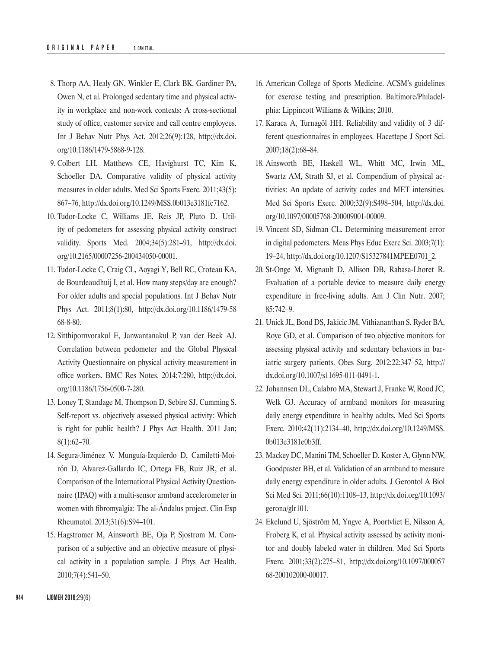- 8. Thorp AA, Healy GN, Winkler E, Clark BK, Gardiner PA, Owen N, et al. Prolonged sedentary time and physical activity in workplace and non-work contexts: A cross-sectional study of office, customer service and call centre employees. Int J Behav Nutr Phys Act. 2012;26(9):128, [http://dx.doi.](http://dx.doi.org/10.1186/1479-5868-9-128) [org/10.1186/1479-5868-9-128](http://dx.doi.org/10.1186/1479-5868-9-128).
- 9. Colbert LH, Matthews CE, Havighurst TC, Kim K, Schoeller DA. Comparative validity of physical activity measures in older adults. Med Sci Sports Exerc. 2011;43(5): 867–76,<http://dx.doi.org/10.1249/MSS.0b013e3181fc7162>.
- 10. Tudor-Locke C, Williams JE, Reis JP, Pluto D. Utility of pedometers for assessing physical activity construct validity. Sports Med. 2004;34(5):281–91, [http://dx.doi.](http://dx.doi.org/10.2165/00007256-200434050-00001) [org/10.2165/00007256-200434050-00001.](http://dx.doi.org/10.2165/00007256-200434050-00001)
- 11. Tudor-Locke C, Craig CL, Aoyagi Y, Bell RC, Croteau KA, de Bourdeaudhuij I, et al. How many steps/day are enough? For older adults and special populations. Int J Behav Nutr Phys Act. 2011;8(1):80, [http://dx.doi.org/10.1186/1479-58](http://dx.doi.org/10.1186/1479-5868-8-80) [68-8-80](http://dx.doi.org/10.1186/1479-5868-8-80).
- 12. Sitthipornvorakul E, Janwantanakul P, van der Beek AJ. Correlation between pedometer and the Global Physical Activity Questionnaire on physical activity measurement in office workers. BMC Res Notes. 2014;7:280, [http://dx.doi.](http://dx.doi.org/10.1186/1756-0500-7-280) [org/10.1186/1756-0500-7-280](http://dx.doi.org/10.1186/1756-0500-7-280).
- 13. Loney T, Standage M, Thompson D, Sebire SJ, Cumming S. Self-report vs. objectively assessed physical activity: Which is right for public health? J Phys Act Health. 2011 Jan; 8(1):62–70.
- 14. Segura-Jiménez V, Munguía-Izquierdo D, Camiletti-Moirón D, Alvarez-Gallardo IC, Ortega FB, Ruiz JR, et al. Comparison of the International Physical Activity Questionnaire (IPAQ) with a multi-sensor armband accelerometer in women with fibromyalgia: The al-Ándalus project. Clin Exp Rheumatol. 2013;31(6):S94–101.
- 15. Hagstromer M, Ainsworth BE, Oja P, Sjostrom M. Comparison of a subjective and an objective measure of physical activity in a population sample. J Phys Act Health. 2010;7(4):541–50.
- 16. American College of Sports Medicine. ACSM's guidelines for exercise testing and prescription. Baltimore/Philadelphia: Lippincott Williams & Wilkins; 2010.
- 17. Karaca A, Turnagöl HH. Reliability and validity of 3 different questionnaires in employees. Hacettepe J Sport Sci. 2007;18(2):68–84.
- 18. Ainsworth BE, Haskell WL, Whitt MC, Irwin ML, Swartz AM, Strath SJ, et al. Compendium of physical activities: An update of activity codes and MET intensities. Med Sci Sports Exerc. 2000;32(9):S498–504, [http://dx.doi.](http://dx.doi.org/10.1097/00005768-200009001-00009) [org/10.1097/00005768-200009001-00009](http://dx.doi.org/10.1097/00005768-200009001-00009).
- 19. Vincent SD, Sidman CL. Determining measurement error in digital pedometers. Meas Phys Educ Exerc Sci. 2003;7(1): 19–24, [http://dx.doi.org/10.1207/S15327841MPEE0701\\_2.](http://dx.doi.org/10.1207/S15327841MPEE0701_2)
- 20. St-Onge M, Mignault D, Allison DB, Rabasa-Lhoret R. Evaluation of a portable device to measure daily energy expenditure in free-living adults. Am J Clin Nutr. 2007; 85:742–9.
- 21. Unick JL, Bond DS, Jakicic JM, Vithiananthan S, Ryder BA, Roye GD, et al. Comparison of two objective monitors for assessing physical activity and sedentary behaviors in bariatric surgery patients. Obes Surg. 2012;22:347–52, [http://](http://dx.doi.org/10.1007/s11695-011-0491-1) [dx.doi.org/10.1007/s11695-011-0491-1](http://dx.doi.org/10.1007/s11695-011-0491-1).
- 22. Johannsen DL, Calabro MA, Stewart J, Franke W, Rood JC, Welk GJ. Accuracy of armband monitors for measuring daily energy expenditure in healthy adults. Med Sci Sports Exerc. 2010;42(11):2134–40, [http://dx.doi.org/10.1249/MSS.](http://dx.doi.org/10.1249/MSS.0b013e3181e0b3ff) [0b013e3181e0b3ff](http://dx.doi.org/10.1249/MSS.0b013e3181e0b3ff).
- 23. Mackey DC, Manini TM, Schoeller D, Koster A, Glynn NW, Goodpaster BH, et al. Validation of an armband to measure daily energy expenditure in older adults. J Gerontol A Biol Sci Med Sci. 2011;66(10):1108–13, [http://dx.doi.org/10.1093/](http://dx.doi.org/10.1093/gerona/glr101) [gerona/glr101.](http://dx.doi.org/10.1093/gerona/glr101)
- 24. Ekelund U, Sjöström M, Yngve A, Poortvliet E, Nilsson A, Froberg K, et al. Physical activity assessed by activity monitor and doubly labeled water in children. Med Sci Sports Exerc. 2001;33(2):275–81, [http://dx.doi.org/10.1097/000057](http://dx.doi.org/10.1097/00005768-200102000-00017) [68-200102000-00017](http://dx.doi.org/10.1097/00005768-200102000-00017).